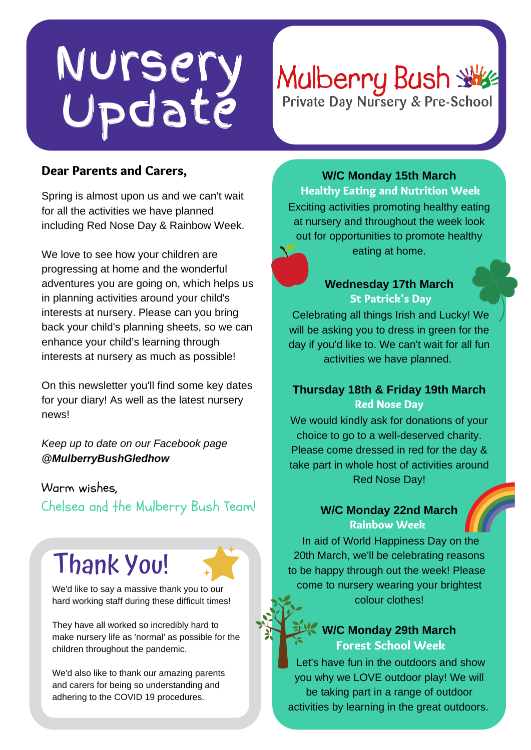## Nursery Update

# Mulberry Bush

### Dear Parents and Carers,

Spring is almost upon us and we can't wait for all the activities we have planned including Red Nose Day & Rainbow Week.

We love to see how your children are progressing at home and the wonderful adventures you are going on, which helps us in planning activities around your child's interests at nursery. Please can you bring back your child's planning sheets, so we can enhance your child's learning through interests at nursery as much as possible!

On this newsletter you'll find some key dates for your diary! As well as the latest nursery news!

*Keep up to date on our Facebook page @MulberryBushGledhow*

#### Warm wishes,

Chelsea and the Mulberry Bush Team!

## Thank You!

We'd like to say a massive thank you to our hard working staff during these difficult times!

They have all worked so incredibly hard to make nursery life as 'normal' as possible for the children throughout the pandemic.

We'd also like to thank our amazing parents and carers for being so understanding and adhering to the COVID 19 procedures.

**W/C Monday 15th March** Healthy Eating and Nutrition Week Exciting activities promoting healthy eating at nursery and throughout the week look out for opportunities to promote healthy eating at home.

#### **Wednesday 17th March** St Patrick's Day

Celebrating all things Irish and Lucky! We will be asking you to dress in green for the day if you'd like to. We can't wait for all fun activities we have planned.

#### **Thursday 18th & Friday 19th March** Red Nose Day

We would kindly ask for donations of your choice to go to a well-deserved charity. Please come dressed in red for the day & take part in whole host of activities around Red Nose Day!

#### **W/C Monday 22nd March** Rainbow Week

In aid of World Happiness Day on the 20th March, we'll be celebrating reasons to be happy through out the week! Please come to nursery wearing your brightest colour clothes!

#### **W/C Monday 29th March** Forest School Week

Let's have fun in the outdoors and show you why we LOVE outdoor play! We will be taking part in a range of outdoor activities by learning in the great outdoors.